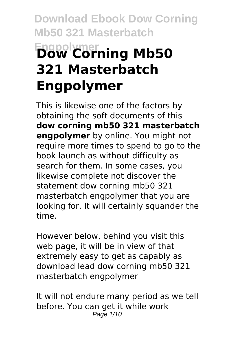# **Download Ebook Dow Corning Mb50 321 Masterbatch Engpolymer Dow Corning Mb50 321 Masterbatch Engpolymer**

This is likewise one of the factors by obtaining the soft documents of this **dow corning mb50 321 masterbatch engpolymer** by online. You might not require more times to spend to go to the book launch as without difficulty as search for them. In some cases, you likewise complete not discover the statement dow corning mb50 321 masterbatch engpolymer that you are looking for. It will certainly squander the time.

However below, behind you visit this web page, it will be in view of that extremely easy to get as capably as download lead dow corning mb50 321 masterbatch engpolymer

It will not endure many period as we tell before. You can get it while work Page 1/10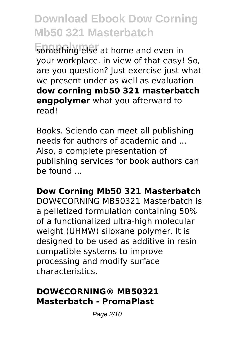**Engpolymer** something else at home and even in your workplace. in view of that easy! So, are you question? Just exercise just what we present under as well as evaluation **dow corning mb50 321 masterbatch engpolymer** what you afterward to read!

Books. Sciendo can meet all publishing needs for authors of academic and ... Also, a complete presentation of publishing services for book authors can  $he$  found

#### **Dow Corning Mb50 321 Masterbatch** DOW€CORNING MB50321 Masterbatch is a pelletized formulation containing 50% of a functionalized ultra-high molecular weight (UHMW) siloxane polymer. It is designed to be used as additive in resin compatible systems to improve processing and modify surface

characteristics.

### **DOW€CORNING® MB50321 Masterbatch - PromaPlast**

Page 2/10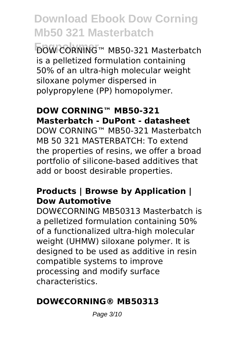**Engpolymer** DOW CORNING™ MB50-321 Masterbatch is a pelletized formulation containing 50% of an ultra-high molecular weight siloxane polymer dispersed in polypropylene (PP) homopolymer.

### **DOW CORNING™ MB50-321 Masterbatch - DuPont - datasheet**

DOW CORNING™ MB50-321 Masterbatch MB 50 321 MASTERBATCH: To extend the properties of resins, we offer a broad portfolio of silicone-based additives that add or boost desirable properties.

#### **Products | Browse by Application | Dow Automotive**

DOW€CORNING MB50313 Masterbatch is a pelletized formulation containing 50% of a functionalized ultra-high molecular weight (UHMW) siloxane polymer. It is designed to be used as additive in resin compatible systems to improve processing and modify surface characteristics.

### **DOW€CORNING® MB50313**

Page 3/10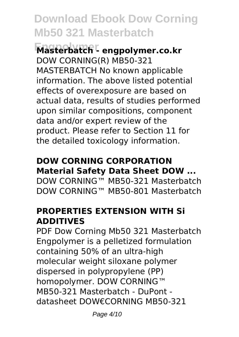**Engpolymer Masterbatch - engpolymer.co.kr** DOW CORNING(R) MB50-321 MASTERBATCH No known applicable information. The above listed potential effects of overexposure are based on actual data, results of studies performed upon similar compositions, component data and/or expert review of the product. Please refer to Section 11 for the detailed toxicology information.

## **DOW CORNING CORPORATION Material Safety Data Sheet DOW ...**

DOW CORNING™ MB50-321 Masterbatch DOW CORNING™ MB50-801 Masterbatch

#### **PROPERTIES EXTENSION WITH Si ADDITIVES**

PDF Dow Corning Mb50 321 Masterbatch Engpolymer is a pelletized formulation containing 50% of an ultra-high molecular weight siloxane polymer dispersed in polypropylene (PP) homopolymer. DOW CORNING™ MB50-321 Masterbatch - DuPont datasheet DOW€CORNING MB50-321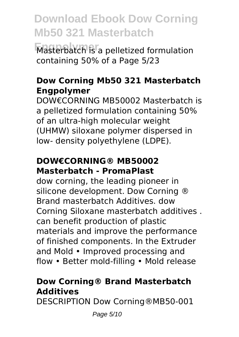**Engpolymer** Masterbatch is a pelletized formulation containing 50% of a Page 5/23

#### **Dow Corning Mb50 321 Masterbatch Engpolymer**

DOW€CORNING MB50002 Masterbatch is a pelletized formulation containing 50% of an ultra-high molecular weight (UHMW) siloxane polymer dispersed in low- density polyethylene (LDPE).

#### **DOW€CORNING® MB50002 Masterbatch - PromaPlast**

dow corning, the leading pioneer in silicone development. Dow Corning ® Brand masterbatch Additives. dow Corning Siloxane masterbatch additives . can benefit production of plastic materials and improve the performance of finished components. In the Extruder and Mold • Improved processing and flow • Better mold-filling • Mold release

### **Dow Corning® Brand Masterbatch Additives**

DESCRIPTION Dow Corning®MB50-001

Page 5/10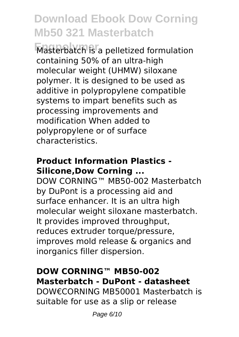**Engpolymer** Masterbatch is a pelletized formulation containing 50% of an ultra-high molecular weight (UHMW) siloxane polymer. It is designed to be used as additive in polypropylene compatible systems to impart benefits such as processing improvements and modification When added to polypropylene or of surface characteristics.

### **Product Information Plastics - Silicone,Dow Corning ...**

DOW CORNING™ MB50-002 Masterbatch by DuPont is a processing aid and surface enhancer. It is an ultra high molecular weight siloxane masterbatch. It provides improved throughput, reduces extruder torque/pressure, improves mold release & organics and inorganics filler dispersion.

### **DOW CORNING™ MB50-002 Masterbatch - DuPont - datasheet**

DOW€CORNING MB50001 Masterbatch is suitable for use as a slip or release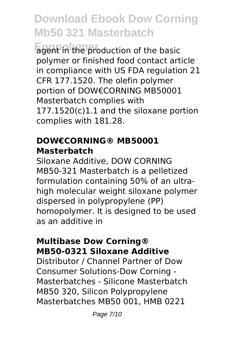**Engpolymer** agent in the production of the basic polymer or finished food contact article in compliance with US FDA regulation 21 CFR 177.1520. The olefin polymer portion of DOW€CORNING MB50001 Masterbatch complies with 177.1520(c)1.1 and the siloxane portion complies with 181.28.

#### **DOW€CORNING® MB50001 Masterbatch**

Siloxane Additive, DOW CORNING MB50-321 Masterbatch is a pelletized formulation containing 50% of an ultrahigh molecular weight siloxane polymer dispersed in polypropylene (PP) homopolymer. It is designed to be used as an additive in

#### **Multibase Dow Corning® MB50-0321 Siloxane Additive**

Distributor / Channel Partner of Dow Consumer Solutions-Dow Corning - Masterbatches - Silicone Masterbatch MB50 320, Silicon Polypropylene Masterbatches MB50 001, HMB 0221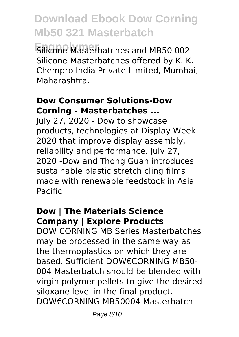**Engpolymer** Silicone Masterbatches and MB50 002 Silicone Masterbatches offered by K. K. Chempro India Private Limited, Mumbai, Maharashtra.

#### **Dow Consumer Solutions-Dow Corning - Masterbatches ...**

July 27, 2020 - Dow to showcase products, technologies at Display Week 2020 that improve display assembly, reliability and performance. July 27, 2020 -Dow and Thong Guan introduces sustainable plastic stretch cling films made with renewable feedstock in Asia Pacific

#### **Dow | The Materials Science Company | Explore Products**

DOW CORNING MB Series Masterbatches may be processed in the same way as the thermoplastics on which they are based. Sufficient DOW€CORNING MB50- 004 Masterbatch should be blended with virgin polymer pellets to give the desired siloxane level in the final product. DOW€CORNING MB50004 Masterbatch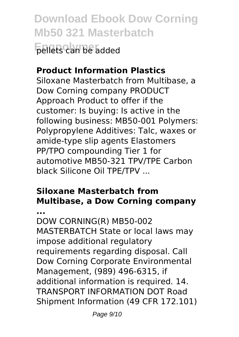**Download Ebook Dow Corning Mb50 321 Masterbatch Engpolymer** pellets can be added

### **Product Information Plastics**

Siloxane Masterbatch from Multibase, a Dow Corning company PRODUCT Approach Product to offer if the customer: Is buying: Is active in the following business: MB50-001 Polymers: Polypropylene Additives: Talc, waxes or amide-type slip agents Elastomers PP/TPO compounding Tier 1 for automotive MB50-321 TPV/TPE Carbon black Silicone Oil TPE/TPV ...

### **Siloxane Masterbatch from Multibase, a Dow Corning company**

**...** DOW CORNING(R) MB50-002 MASTERBATCH State or local laws may impose additional regulatory requirements regarding disposal. Call Dow Corning Corporate Environmental Management, (989) 496-6315, if additional information is required. 14. TRANSPORT INFORMATION DOT Road Shipment Information (49 CFR 172.101)